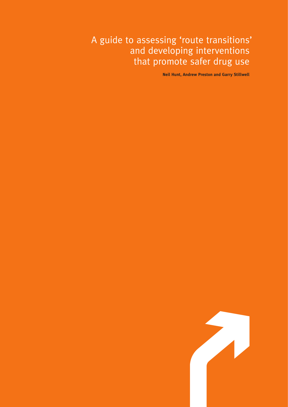# A guide to assessing 'route transitions' and developing interventions that promote safer drug use

**Neil Hunt, Andrew Preston and Garry Stillwell**

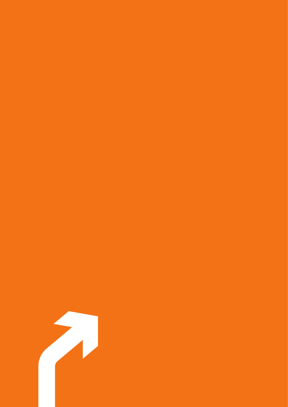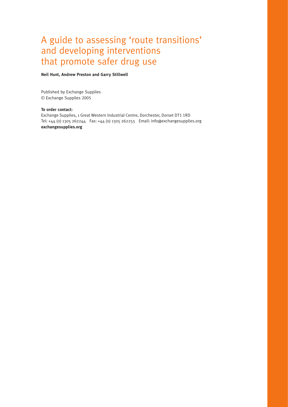# A guide to assessing 'route transitions' and developing interventions that promote safer drug use

**Neil Hunt, Andrew Preston and Garry Stillwell**

Published by Exchange Supplies © Exchange Supplies 2005

### **To order contact:**

Exchange Supplies, 1 Great Western Industrial Centre, Dorchester, Dorset DT1 1RD Tel: +44 (0) 1305 262244 Fax: +44 (0) 1305 262255 Email: info@exchangesupplies.org **exchangesupplies.org**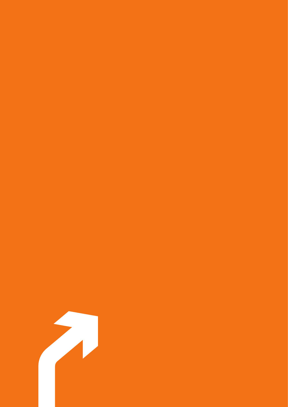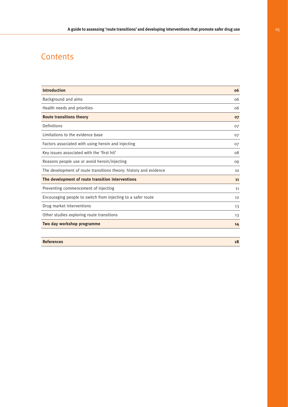# **Contents**

| <b>Introduction</b>                                               | 06 |
|-------------------------------------------------------------------|----|
| Background and aims                                               | 06 |
| Health needs and priorities                                       | 06 |
| <b>Route transitions theory</b>                                   | 07 |
| Definitions                                                       | 07 |
| Limitations to the evidence base                                  | 07 |
| Factors associated with using heroin and injecting                | 07 |
| Key issues associated with the 'first hit'                        | 08 |
| Reasons people use or avoid heroin/injecting                      | 09 |
| The development of route transitions theory: history and evidence | 10 |
| The development of route transition interventions                 | 11 |
| Preventing commencement of injecting                              | 11 |
| Encouraging people to switch from injecting to a safer route      | 12 |
| Drug market interventions                                         | 13 |
| Other studies exploring route transitions                         | 13 |
| Two day workshop programme                                        | 14 |
|                                                                   |    |

**References 18**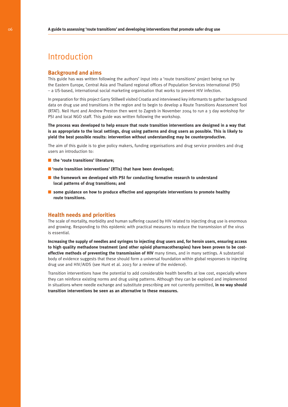# Introduction

### **Background and aims**

This guide has was written following the authors' input into a 'route transitions' project being run by the Eastern Europe, Central Asia and Thailand regional offices of Population Services International (PSI) – a US-based, international social marketing organisation that works to prevent HIV infection.

In preparation for this project Garry Stillwell visited Croatia and interviewed key informants to gather background data on drug use and transitions in the region and to begin to develop a Route Transitions Assessment Tool (RTAT). Neil Hunt and Andrew Preston then went to Zagreb in November 2004 to run a 3 day workshop for PSI and local NGO staff. This guide was written following the workshop.

**The process was developed to help ensure that route transition interventions are designed in a way that is as appropriate to the local settings, drug using patterns and drug users as possible. This is likely to yield the best possible results: intervention without understanding may be counterproductive.**

The aim of this guide is to give policy makers, funding organisations and drug service providers and drug users an introduction to:

- **the 'route transitions' literature**;
- 'route transition interventions' (RTIs) that have been developed;
- the framework we developed with PSI for conducting formative research to understand **local patterns of drug transitions; and**
- some guidance on how to produce effective and appropriate interventions to promote healthy **route transitions.**

## **Health needs and priorities**

The scale of mortality, morbidity and human suffering caused by HIV related to injecting drug use is enormous and growing. Responding to this epidemic with practical measures to reduce the transmission of the virus is essential.

**Increasing the supply of needles and syringes to injecting drug users and, for heroin users, ensuring access to high quality methadone treatment (and other opioid pharmacotherapies) have been proven to be costeffective methods of preventing the transmission of HIV** many times, and in many settings. A substantial body of evidence suggests that these should form a universal foundation within global responses to injecting drug use and HIV/AIDS (see Hunt et al. 2003 for a review of the evidence).

Transition interventions have the potential to add considerable health benefits at low cost, especially where they can reinforce existing norms and drug using patterns. Although they can be explored and implemented in situations where needle exchange and substitute prescribing are not currently permitted, **in no way should transition interventions be seen as an alternative to these measures.**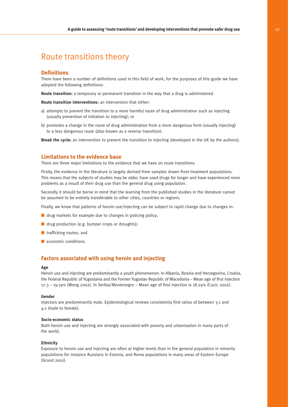# Route transitions theory

## **Definitions**

There have been a number of definitions used in this field of work, for the purposes of this guide we have adopted the following definitions:

**Route transition:** a temporary or permanent transition in the way that a drug is administered

**Route transition interventions:** an intervention that either:

- a) attempts to prevent the transition to a more harmful route of drug administration such as injecting (usually prevention of initiation to injecting); or
- b) promotes a change in the route of drug administration from a more dangerous form (usually injecting) to a less dangerous route (also known as a reverse transition).

**Break the cycle:** an intervention to prevent the transition to injecting (developed in the UK by the authors).

# **Limitations to the evidence base**

There are three major limitations to the evidence that we have on route transitions.

Firstly, the evidence in the literature is largely derived from samples drawn from treatment populations. This means that the subjects of studies may be older, have used drugs for longer and have experienced more problems as a result of their drug use than the general drug using population.

Secondly it should be borne in mind that the learning from the published studies in the literature cannot be assumed to be entirely transferable to other cities, countries or regions.

Finally, we know that patterns of heroin use/injecting can be subject to rapid change due to changes in:

- drug markets for example due to changes in policing policy;
- drug production (e.g. bumper crops or droughts);
- trafficking routes; and
- economic conditions.

# **Factors associated with using heroin and injecting**

#### **Age**

Heroin use and injecting are predominantly a youth phenomenon. In Albania, Bosnia and Herzegovina, Croatia, the Federal Republic of Yugoslavia and the Former Yugoslav Republic of Macedonia – Mean age of first injection 17.3 – 19.1yrs (Wong 2002). In Serbia/Montenegro – Mean age of first injection is 18.2yrs (Cucic 2002).

#### **Gender**

Injectors are predominantly male. Epidemiological reviews consistently find ratios of between 3:1 and 4:1 (male to female).

#### **Socio-economic status**

Both heroin use and injecting are strongly associated with poverty and urbanisation in many parts of the world.

#### **Ethnicity**

Exposure to heroin use and injecting are often at higher levels than in the general population in minority populations for instance Russians in Estonia, and Roma populations in many areas of Eastern Europe (Grund 2001).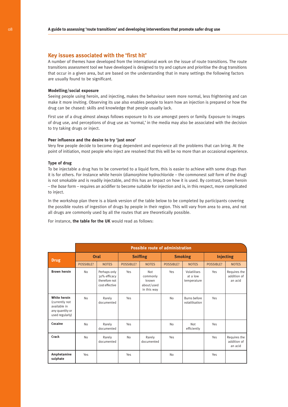## **Key issues associated with the 'first hit'**

A number of themes have developed from the international work on the issue of route transitions. The route transitions assessment tool we have developed is designed to try and capture and prioritise the drug transitions that occur in a given area, but are based on the understanding that in many settings the following factors are usually found to be significant.

#### **Modelling/social exposure**

Seeing people using heroin, and injecting, makes the behaviour seem more normal, less frightening and can make it more inviting. Observing its use also enables people to learn how an injection is prepared or how the drug can be chased: skills and knowledge that people usually lack.

First use of a drug almost always follows exposure to its use amongst peers or family. Exposure to images of drug use, and perceptions of drug use as 'normal,' in the media may also be associated with the decision to try taking drugs or inject.

#### **Peer influence and the desire to try 'just once'**

Very few people decide to become drug dependent and experience all the problems that can bring. At the point of initiation, most people who inject are resolved that this will be no more than an occasional experience.

#### **Type of drug**

To be injectable a drug has to be converted to a liquid form, this is easier to achieve with some drugs than it is for others. For instance white heroin (diamorphine hydrochloride – the commonest *salt* form of the drug) is not smokable and is readily injectable, and this has an impact on how it is used. By contrast, brown heroin – the *base* form – requires an acidifier to become suitable for injection and is, in this respect, more complicated to inject.

In the workshop plan there is a blank version of the table below to be completed by participants covering the possible routes of ingestion of drugs by people in their region. This will vary from area to area, and not all drugs are commonly used by all the routes that are theoretically possible.

For instance, **the table for the UK** would read as follows:

|                                                                                             | <b>Possible route of administration</b> |                                                                 |                 |                                                       |                |                                        |                  |                                        |
|---------------------------------------------------------------------------------------------|-----------------------------------------|-----------------------------------------------------------------|-----------------|-------------------------------------------------------|----------------|----------------------------------------|------------------|----------------------------------------|
| <b>Drug</b>                                                                                 | <b>Oral</b>                             |                                                                 | <b>Sniffing</b> |                                                       | <b>Smoking</b> |                                        | <b>Injecting</b> |                                        |
|                                                                                             | POSSIBLE?                               | <b>NOTES</b>                                                    | POSSIBLE?       | <b>NOTES</b>                                          | POSSIBLE?      | <b>NOTES</b>                           | POSSIBLE?        | <b>NOTES</b>                           |
| <b>Brown heroin</b>                                                                         | No                                      | Perhaps only<br>30% efficacy<br>therefore not<br>cost effective | Yes             | Not<br>commonly<br>known<br>about/used<br>in this way | Yes            | Volatilises<br>at a low<br>temperature | Yes              | Requires the<br>addition of<br>an acid |
| <b>White heroin</b><br>(currently not<br>available in<br>any quantity or<br>used regularly) | N <sub>0</sub>                          | Rarely<br>documented                                            | Yes             |                                                       | N <sub>0</sub> | Burns before<br>volatilisation         | Yes              |                                        |
| Cocaine                                                                                     | No                                      | Rarely<br>documented                                            | Yes             |                                                       | N <sub>0</sub> | Not<br>efficiently                     | Yes              |                                        |
| Crack                                                                                       | No                                      | Rarely<br>documented                                            | N <sub>0</sub>  | Rarely<br>documented                                  | Yes            |                                        | Yes              | Requires the<br>addition of<br>an acid |
| Amphetamine<br>sulphate                                                                     | Yes                                     |                                                                 | Yes             |                                                       | No             |                                        | Yes              |                                        |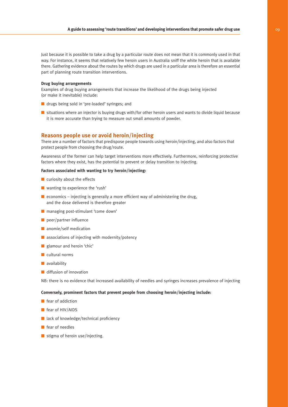Just because it is possible to take a drug by a particular route does not mean that it is commonly used in that way. For instance, it seems that relatively few heroin users in Australia sniff the white heroin that is available there. Gathering evidence about the routes by which drugs are used in a particular area is therefore an essential part of planning route transition interventions.

### **Drug buying arrangements**

Examples of drug buying arrangements that increase the likelihood of the drugs being injected (or make it inevitable) include:

- drugs being sold in 'pre-loaded' syringes; and
- situations where an injector is buying drugs with/for other heroin users and wants to divide liquid because it is more accurate than trying to measure out small amounts of powder.

### **Reasons people use or avoid heroin/injecting**

There are a number of factors that predispose people towards using heroin/injecting, and also factors that protect people from choosing the drug/route.

Awareness of the former can help target interventions more effectively. Furthermore, reinforcing protective factors where they exist, has the potential to prevent or delay transition to injecting.

#### **Factors associated with wanting to try heroin/injecting:**

- $\blacksquare$  curiosity about the effects
- wanting to experience the 'rush'
- $\blacksquare$  economics injecting is generally a more efficient way of administering the drug, and the dose delivered is therefore greater
- managing post-stimulant 'come down'
- **D** peer/partner influence
- anomie/self medication
- associations of injecting with modernity/potency
- glamour and heroin 'chic'
- cultural norms
- availability
- diffusion of innovation

NB: there is no evidence that increased availability of needles and syringes increases prevalence of injecting

#### **Conversely, prominent factors that prevent people from choosing heroin/injecting include:**

- fear of addiction
- fear of HIV/AIDS
- lack of knowledge/technical proficiency
- fear of needles
- stigma of heroin use/injecting.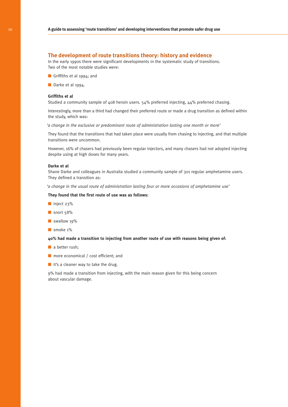### **The development of route transitions theory: history and evidence**

In the early 1990s there were significant developments in the systematic study of transitions. Two of the most notable studies were:

- Griffiths et al 1994; and
- Darke et al 1994.

#### **Griffiths et al**

Studied a community sample of 408 heroin users. 54% preferred injecting, 44% preferred chasing.

Interestingly, more than a third had changed their preferred route or made a drug transition as defined within the study, which was:

*'a change in the exclusive or predominant route of administration lasting one month or more'*

They found that the transitions that had taken place were usually from chasing to injecting, and that multiple transitions were uncommon.

However, 16% of chasers had previously been regular injectors, and many chasers had not adopted injecting despite using at high doses for many years.

#### **Darke et al**

Shane Darke and colleagues in Australia studied a community sample of 301 regular amphetamine users. They defined a transition as:

*'a change in the usual route of administration lasting four or more occasions of amphetamine use'*

#### **They found that the first route of use was as follows:**

- inject 23%
- snort 58%
- swallow 19%
- smoke 1%

#### **40% had made a transition to injecting from another route of use with reasons being given of:**

- a better rush:
- more economical / cost efficient; and
- it's a cleaner way to take the drug.

9% had made a transition from injecting, with the main reason given for this being concern about vascular damage.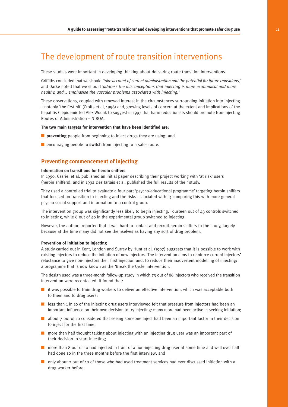# The development of route transition interventions

These studies were important in developing thinking about delivering route transition interventions.

Griffiths concluded that we should *'take account of current administration and the potential for future transitions,'* and Darke noted that we should *'address the misconceptions that injecting is more economical and more healthy, and... emphasise the vascular problems associated with injecting.'*

These observations, coupled with renewed interest in the circumstances surrounding initiation into injecting – notably 'the first hit' (Crofts et al, 1996) and, growing levels of concern at the extent and implications of the hepatitis C epidemic led Alex Wodak to suggest in 1997 that harm reductionists should promote Non-Injecting Routes of Administration – NIROA.

**The two main targets for intervention that have been identified are:**

- **preventing** people from beginning to inject drugs they are using; and
- encouraging people to **switch** from injecting to a safer route.

# **Preventing commencement of injecting**

#### **Information on transitions for heroin sniffers**

In 1990, Casriel et al. published an initial paper describing their project working with 'at risk' users (heroin sniffers), and in 1992 Des Jarlais et al. published the full results of their study.

They used a controlled trial to evaluate a four part 'psycho-educational programme' targeting heroin sniffers that focused on transition to injecting and the risks associated with it; comparing this with more general psycho-social support and information to a control group.

The intervention group was significantly less likely to begin injecting. Fourteen out of 43 controls switched to injecting, while 6 out of 40 in the experimental group switched to injecting.

However, the authors reported that it was hard to contact and recruit heroin sniffers to the study, largely because at the time many did not see themselves as having any sort of drug problem.

#### **Prevention of initiation to injecting**

A study carried out in Kent, London and Surrey by Hunt et al. (1997) suggests that it is possible to work with existing injectors to reduce the initiation of new injectors. The intervention aims to reinforce current injectors' reluctance to give non-injectors their first injection and, to reduce their inadvertent modelling of injecting: a programme that is now known as the 'Break the Cycle' intervention.

The design used was a three-month follow-up study in which 73 out of 86 injectors who received the transition intervention were recontacted. It found that:

- it was possible to train drug workers to deliver an effective intervention, which was acceptable both to them and to drug users;
- less than 1 in 10 of the injecting drug users interviewed felt that pressure from injectors had been an important influence on their own decision to try injecting: many more had been active in seeking initiation;
- about 7 out of 10 considered that seeing someone inject had been an important factor in their decision to inject for the first time;
- more than half thought talking about injecting with an injecting drug user was an important part of their decision to start injecting;
- more than 8 out of 10 had injected in front of a non-injecting drug user at some time and well over half had done so in the three months before the first interview; and
- only about 2 out of 10 of those who had used treatment services had ever discussed initiation with a drug worker before.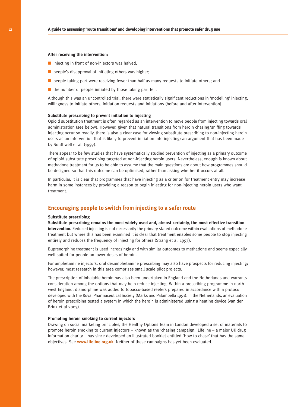#### **After receiving the intervention:**

- injecting in front of non-injectors was halved;
- $\blacksquare$  people's disapproval of initiating others was higher;
- people taking part were receiving fewer than half as many requests to initiate others; and
- $\blacksquare$  the number of people initiated by those taking part fell.

Although this was an uncontrolled trial, there were statistically significant reductions in 'modelling' injecting, willingness to initiate others, initiation requests and initiations (before and after intervention).

#### **Substitute prescribing to prevent initiation to injecting**

Opioid substitution treatment is often regarded as an intervention to move people from injecting towards oral administration (see below). However, given that natural transitions from heroin chasing/sniffing towards injecting occur so readily, there is also a clear case for viewing substitute prescribing to non-injecting heroin users as an intervention that is likely to prevent initiation into injecting: an argument that has been made by Southwell et al. (1997).

There appear to be few studies that have systematically studied prevention of injecting as a primary outcome of opioid substitute prescribing targeted at non-injecting heroin users. Nevertheless, enough is known about methadone treatment for us to be able to assume that the main questions are about how programmes should be designed so that this outcome can be optimised, rather than asking whether it occurs at all.

In particular, it is clear that programmes that have injecting as a criterion for treatment entry may increase harm in some instances by providing a reason to begin injecting for non-injecting heroin users who want treatment.

## **Encouraging people to switch from injecting to a safer route**

#### **Substitute prescribing**

**Substitute prescribing remains the most widely used and, almost certainly, the most effective transition intervention.** Reduced injecting is not necessarily the primary stated outcome within evaluations of methadone treatment but where this has been examined it is clear that treatment enables some people to stop injecting entirely and reduces the frequency of injecting for others (Strang et al. 1997).

Buprenorphine treatment is used increasingly and with similar outcomes to methadone and seems especially well-suited for people on lower doses of heroin.

For amphetamine injectors, oral dexamphetamine prescribing may also have prospects for reducing injecting; however, most research in this area comprises small scale pilot projects.

The prescription of inhalable heroin has also been undertaken in England and the Netherlands and warrants consideration among the options that may help reduce injecting. Within a prescribing programme in north west England, diamorphine was added to tobacco-based reefers prepared in accordance with a protocol developed with the Royal Pharmaceutical Society (Marks and Palombella 1991). In the Netherlands, an evaluation of heroin prescribing tested a system in which the heroin is administered using a heating device (van den Brink et al 2003).

#### **Promoting heroin smoking to current injectors**

Drawing on social marketing principles, the Healthy Options Team in London developed a set of materials to promote heroin smoking to current injectors – known as the 'chasing campaign.' Lifeline – a major UK drug information charity – has since developed an illustrated booklet entitled 'How to chase' that has the same objectives. See **www.lifeline.org.uk**. Neither of these campaigns has yet been evaluated.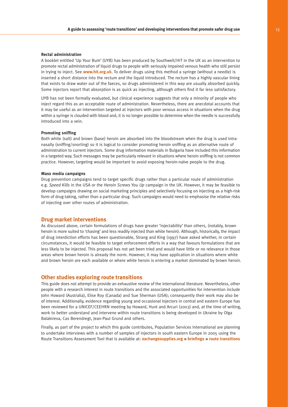#### **Rectal administration**

A booklet entitled 'Up Your Bum' (UYB) has been produced by Southwell/HIT in the UK as an intervention to promote rectal administration of liquid drugs to people with seriously impaired venous health who still persist in trying to inject. See **www.hit.org.uk**. To deliver drugs using this method a syringe (without a needle) is inserted a short distance into the rectum and the liquid introduced. The rectum has a highly vascular lining that exists to draw water out of the faeces, so drugs administered in this way are usually absorbed quickly. Some injectors report that absorption is as quick as injecting, although others find it far less satisfactory.

UYB has not been formally evaluated, but clinical experience suggests that only a minority of people who inject regard this as an acceptable route of administration. Nevertheless, there are anecdotal accounts that it may be useful as an intervention targeted at injectors with poor venous access in situations when the drug within a syringe is clouded with blood and, it is no longer possible to determine when the needle is successfully introduced into a vein.

#### **Promoting sniffing**

Both white (salt) and brown (base) heroin are absorbed into the bloodstream when the drug is used intranasally (sniffing/snorting) so it is logical to consider promoting heroin sniffing as an alternative route of administration to current injectors. Some drug information materials in Bulgaria have included this information in a targeted way. Such messages may be particularly relevant in situations where heroin sniffing is not common practice. However, targeting would be important to avoid exposing heroin-naïve people to the drug.

#### **Mass media campaigns**

Drug prevention campaigns tend to target specific drugs rather than a particular route of administration e.g. *Speed Kills* in the USA or the *Heroin Screws You Up* campaign in the UK. However, it may be feasible to develop campaigns drawing on social marketing principles and selectively focusing on injecting as a high-risk form of drug-taking, rather than a particular drug. Such campaigns would need to emphasise the relative risks of injecting over other routes of administration.

### **Drug market interventions**

As discussed above, certain formulations of drugs have greater 'injectability' than others, (notably, brown heroin is more suited to 'chasing' and less readily injected than white heroin). Although, historically, the impact of drug interdiction efforts has been questionable, Strang and King (1997) have asked whether, in certain circumstances, it would be feasible to target enforcement efforts in a way that favours formulations that are less likely to be injected. This proposal has not yet been tried and would have little or no relevance in those areas where brown heroin is already the norm. However, it may have application in situations where white and brown heroin are each available or where white heroin is entering a market dominated by brown heroin.

### **Other studies exploring route transitions**

This guide does not attempt to provide an exhaustive review of the international literature. Nevertheless, other people with a research interest in route transitions and the associated opportunities for intervention include John Howard (Australia), Elise Roy (Canada) and Sue Sherman (USA); consequently their work may also be of interest. Additionally, evidence regarding young and occasional injectors in central and eastern Europe has been reviewed for a UNICEF/CEEHRN meeting by Howard, Hunt and Arcuri (2003) and, at the time of writing, work to better understand and intervene within route transitions is being developed in Ukraine by Olga Balakireva, Cas Berendregt, Jean-Paul Grund and others.

Finally, as part of the project to which this guide contributes, Population Services International are planning to undertake interviews with a number of samples of injectors in south eastern Europe in 2005 using the Route Transitions Assessment Tool that is available at: **exchangesupplies.org » briefings » route transitions**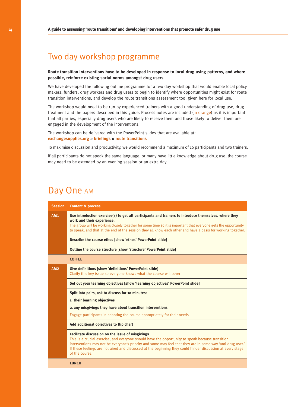# Two day workshop programme

**Route transition interventions have to be developed in response to local drug using patterns, and where possible, reinforce existing social norms amongst drug users.**

We have developed the following outline programme for a two day workshop that would enable local policy makers, funders, drug workers and drug users to begin to identify where opportunities might exist for route transition interventions, and develop the route transitions assessment tool given here for local use.

The workshop would need to be run by experienced trainers with a good understanding of drug use, drug treatment and the papers described in this guide. Process notes are included (in orange) as it is important that all parties, especially drug users who are likely to receive them and those likely to deliver them are engaged in the development of the interventions.

The workshop can be delivered with the PowerPoint slides that are available at: **exchangesupplies.org » briefings » route transitions**

To maximise discussion and productivity, we would recommend a maximum of 16 participants and two trainers.

If all participants do not speak the same language, or many have little knowledge about drug use, the course may need to be extended by an evening session or an extra day.

# Day One AM

| <b>Session</b> | <b>Content &amp; process</b>                                                                                                                                                                                                                                                                                                                                                                       |
|----------------|----------------------------------------------------------------------------------------------------------------------------------------------------------------------------------------------------------------------------------------------------------------------------------------------------------------------------------------------------------------------------------------------------|
| <b>AM1</b>     | Use introduction exercise(s) to get all participants and trainers to introduce themselves, where they<br>work and their experience.<br>The group will be working closely together for some time so it is important that everyone gets the opportunity<br>to speak, and that at the end of the session they all know each other and have a basis for working together.                              |
|                | Describe the course ethos [show 'ethos' PowerPoint slide]                                                                                                                                                                                                                                                                                                                                          |
|                | Outline the course structure [show 'structure' PowerPoint slide]                                                                                                                                                                                                                                                                                                                                   |
|                | <b>COFFEE</b>                                                                                                                                                                                                                                                                                                                                                                                      |
| AM2            | <b>Give definitions [show 'definitions' PowerPoint slide]</b><br>Clarify this key issue so everyone knows what the course will cover                                                                                                                                                                                                                                                               |
|                | Set out your learning objectives (show 'learning objectives' PowerPoint slide)                                                                                                                                                                                                                                                                                                                     |
|                | Split into pairs, ask to discuss for 10 minutes:                                                                                                                                                                                                                                                                                                                                                   |
|                | 1. their learning objectives                                                                                                                                                                                                                                                                                                                                                                       |
|                | 2. any misgivings they have about transition interventions                                                                                                                                                                                                                                                                                                                                         |
|                | Engage participants in adapting the course appropriately for their needs                                                                                                                                                                                                                                                                                                                           |
|                | Add additional objectives to flip chart                                                                                                                                                                                                                                                                                                                                                            |
|                | Facilitate discussion on the issue of misgivings<br>This is a crucial exercise, and everyone should have the opportunity to speak because transition<br>interventions may not be everyone's priority and some may feel that they are in some way 'anti-drug user.'<br>If these feelings are not aired and discussed at the beginning they could hinder discussion at every stage<br>of the course. |
|                | <b>LUNCH</b>                                                                                                                                                                                                                                                                                                                                                                                       |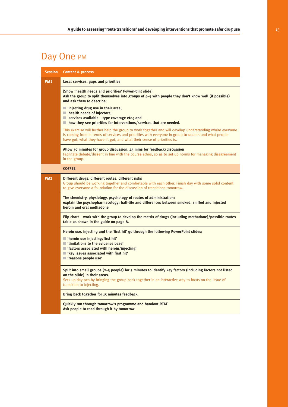# Day One PM

| Session         | <b>Content &amp; process</b>                                                                                                                                                                                                                                                               |
|-----------------|--------------------------------------------------------------------------------------------------------------------------------------------------------------------------------------------------------------------------------------------------------------------------------------------|
| <b>PM1</b>      | Local services, gaps and priorities                                                                                                                                                                                                                                                        |
|                 | [Show 'health needs and priorities' PowerPoint slide]<br>Ask the group to split themselves into groups of 4-5 with people they don't know well (if possible)<br>and ask them to describe:                                                                                                  |
|                 | $\blacksquare$ injecting drug use in their area;<br>$\blacksquare$ health needs of injectors;<br>Services available – type coverage etc.; and<br>$\blacksquare$ how they see priorities for interventions/services that are needed.                                                        |
|                 | This exercise will further help the group to work together and will develop understanding where everyone<br>is coming from in terms of services and priorities with everyone in group to understand what people<br>have got, what they haven't got, and what their sense of priorities is. |
|                 | Allow 30 minutes for group discussion. 45 mins for feedback/discussion<br>Facilitate debate/dissent in line with the course ethos, so as to set up norms for managing disagreement<br>in the group.                                                                                        |
|                 | <b>COFFEE</b>                                                                                                                                                                                                                                                                              |
| PM <sub>2</sub> | Different drugs, different routes, different risks<br>Group should be working together and comfortable with each other. Finish day with some solid content<br>to give everyone a foundation for the discussion of transitions tomorrow.                                                    |
|                 | The chemistry, physiology, psychology of routes of administration:<br>explain the psychopharmacology; half-life and differences between smoked, sniffed and injected<br>heroin and oral methadone                                                                                          |
|                 | Flip chart – work with the group to develop the matrix of drugs (including methadone)/possible routes<br>table as shown in the guide on page 8.                                                                                                                                            |
|                 | Heroin use, injecting and the 'first hit' go through the following PowerPoint slides:                                                                                                                                                                                                      |
|                 | $\blacksquare$ 'heroin use injecting/first hit'<br>■ 'limitations to the evidence base'                                                                                                                                                                                                    |
|                 | ■ 'factors associated with heroin/injecting'<br>■ 'key issues associated with first hit'<br>"reasons people use'                                                                                                                                                                           |
|                 | Split into small groups (2-3 people) for 5 minutes to identify key factors (including factors not listed<br>on the slide) in their areas.<br>Sets up day two by bringing the group back together in an interactive way to focus on the issue of<br>transition to injecting.                |
|                 | Bring back together for 15 minutes feedback.                                                                                                                                                                                                                                               |
|                 | Quickly run through tomorrow's programme and handout RTAT.<br>Ask people to read through it by tomorrow                                                                                                                                                                                    |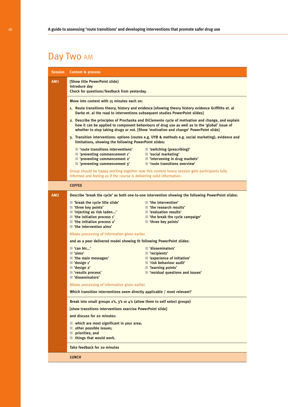# Day Two AM

| <b>Session</b>  | <b>Content &amp; process</b>                                                                                                                                                                                                                                                                                                                                                                                                                                                                                                                                                                                                                        |                                                                                                                                         |  |  |
|-----------------|-----------------------------------------------------------------------------------------------------------------------------------------------------------------------------------------------------------------------------------------------------------------------------------------------------------------------------------------------------------------------------------------------------------------------------------------------------------------------------------------------------------------------------------------------------------------------------------------------------------------------------------------------------|-----------------------------------------------------------------------------------------------------------------------------------------|--|--|
| AM1             | [Show title PowerPoint slide]<br>Introduce day<br>Check for questions/feedback from yesterday.                                                                                                                                                                                                                                                                                                                                                                                                                                                                                                                                                      |                                                                                                                                         |  |  |
|                 |                                                                                                                                                                                                                                                                                                                                                                                                                                                                                                                                                                                                                                                     |                                                                                                                                         |  |  |
|                 | Move into content with 15 minutes each on:                                                                                                                                                                                                                                                                                                                                                                                                                                                                                                                                                                                                          |                                                                                                                                         |  |  |
|                 | 1. Route transitions theory, history and evidence [showing theory history evidence Griffiths et. al<br>Darke et. al the road to interventions subsequent studies PowerPoint slides]<br>2. Describe the principles of Prochaska and DiClemente cycle of motivation and change, and explain<br>how it can be applied to component behaviours of drug use as well as to the 'global' issue of<br>whether to stop taking drugs or not. [Show 'motivation and change' PowerPoint slide]<br>3. Transition interventions: options (routes e.g. UYB & methods e.g. social marketing), evidence and<br>limitations, showing the following PowerPoint slides: |                                                                                                                                         |  |  |
|                 |                                                                                                                                                                                                                                                                                                                                                                                                                                                                                                                                                                                                                                                     |                                                                                                                                         |  |  |
|                 |                                                                                                                                                                                                                                                                                                                                                                                                                                                                                                                                                                                                                                                     |                                                                                                                                         |  |  |
|                 | ■ 'route transitions interventions'<br>$\blacksquare$ 'preventing commencement 1'<br>" 'preventing commencement 2'<br>$\blacksquare$ 'preventing commencement 3'                                                                                                                                                                                                                                                                                                                                                                                                                                                                                    | $\blacksquare$ 'switching (prescribing)'<br>Social marketing'<br>■ 'intervening in drug markets'<br>■ 'route transitions overview'      |  |  |
|                 | informed and feeling as if the course is delivering solid information.                                                                                                                                                                                                                                                                                                                                                                                                                                                                                                                                                                              | Group should be happy working together now this content heavy session gets participants fully                                           |  |  |
|                 | <b>COFFEE</b>                                                                                                                                                                                                                                                                                                                                                                                                                                                                                                                                                                                                                                       |                                                                                                                                         |  |  |
| AM <sub>2</sub> |                                                                                                                                                                                                                                                                                                                                                                                                                                                                                                                                                                                                                                                     | Describe 'break the cycle' as both one-to-one intervention showing the following PowerPoint slides:                                     |  |  |
|                 | $\blacksquare$ 'break the cycle title slide'<br>"three key points'<br>"injecting as risk laden'<br>"the initiation process 1'<br>$\blacksquare$ 'the initiation process 2'<br>"the intervention aims"                                                                                                                                                                                                                                                                                                                                                                                                                                               | "the intervention'<br>"the research results"<br><b>Sevaluation results'</b><br>■ 'the break the cycle campaign'<br>■ 'three key points' |  |  |
|                 | Allows processing of information given earlier.                                                                                                                                                                                                                                                                                                                                                                                                                                                                                                                                                                                                     |                                                                                                                                         |  |  |
|                 | and as a peer delivered model showing th following PowerPoint slides:                                                                                                                                                                                                                                                                                                                                                                                                                                                                                                                                                                               |                                                                                                                                         |  |  |
|                 | $\blacksquare$ 'can btc'<br>$\blacksquare$ 'aims'                                                                                                                                                                                                                                                                                                                                                                                                                                                                                                                                                                                                   | <b>disseminators'</b><br>$\blacksquare$ 'recipients'                                                                                    |  |  |
|                 | "the main messages'<br>design 1'                                                                                                                                                                                                                                                                                                                                                                                                                                                                                                                                                                                                                    | ■ 'experience of initiation'<br>"risk behaviour audit"                                                                                  |  |  |
|                 | "design 2"                                                                                                                                                                                                                                                                                                                                                                                                                                                                                                                                                                                                                                          | $\blacksquare$ 'learning points'                                                                                                        |  |  |
|                 | ■ 'results process'<br>"disseminators"                                                                                                                                                                                                                                                                                                                                                                                                                                                                                                                                                                                                              | ■ 'residual questions and issues'                                                                                                       |  |  |
|                 | Allows processing of information given earlier.                                                                                                                                                                                                                                                                                                                                                                                                                                                                                                                                                                                                     |                                                                                                                                         |  |  |
|                 | Which transition interventions seem directly applicable / most relevant?                                                                                                                                                                                                                                                                                                                                                                                                                                                                                                                                                                            |                                                                                                                                         |  |  |
|                 | Break into small groups 2's, 3's or 4's (allow them to self select groups)                                                                                                                                                                                                                                                                                                                                                                                                                                                                                                                                                                          |                                                                                                                                         |  |  |
|                 | [show transitions interventions exercise PowerPoint slide]                                                                                                                                                                                                                                                                                                                                                                                                                                                                                                                                                                                          |                                                                                                                                         |  |  |
|                 | and discuss for 20 minutes:                                                                                                                                                                                                                                                                                                                                                                                                                                                                                                                                                                                                                         |                                                                                                                                         |  |  |
|                 | which are most significant in your area;<br>other possible issues;<br>priorities; and<br>things that would work.                                                                                                                                                                                                                                                                                                                                                                                                                                                                                                                                    |                                                                                                                                         |  |  |
|                 | Take feedback for 20 minutes                                                                                                                                                                                                                                                                                                                                                                                                                                                                                                                                                                                                                        |                                                                                                                                         |  |  |
|                 | <b>LUNCH</b>                                                                                                                                                                                                                                                                                                                                                                                                                                                                                                                                                                                                                                        |                                                                                                                                         |  |  |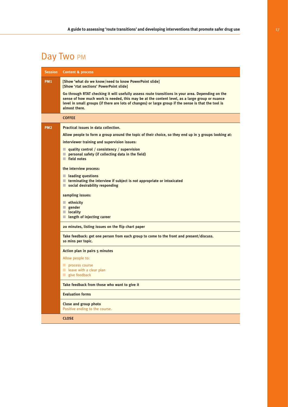# Day Two PM

| <b>Session</b> | <b>Content &amp; process</b>                                                                                                                                                                                                                                                                                                 |
|----------------|------------------------------------------------------------------------------------------------------------------------------------------------------------------------------------------------------------------------------------------------------------------------------------------------------------------------------|
| <b>PM1</b>     | [Show 'what do we know/need to know PowerPoint slide]<br>[Show 'rtat sections' PowerPoint slide]                                                                                                                                                                                                                             |
|                | Go through RTAT checking it will usefully assess route transitions in your area. Depending on the<br>sense of how much work is needed, this may be at the content level, as a large group or nuance<br>level in small groups (if there are lots of changes) or large group if the sense is that the tool is<br>almost there. |
|                | <b>COFFEE</b>                                                                                                                                                                                                                                                                                                                |
| <b>PM2</b>     | Practical issues in data collection.                                                                                                                                                                                                                                                                                         |
|                | Allow people to form a group around the topic of their choice, so they end up in 3 groups looking at:                                                                                                                                                                                                                        |
|                | interviewer training and supervision issues:                                                                                                                                                                                                                                                                                 |
|                | quality control / consistency / supervision<br>personal safety (if collecting data in the field)<br>field notes                                                                                                                                                                                                              |
|                | the interview process:                                                                                                                                                                                                                                                                                                       |
|                | leading questions<br>terminating the interview if subject is not appropriate or intoxicated<br>social desirability responding                                                                                                                                                                                                |
|                | sampling issues:                                                                                                                                                                                                                                                                                                             |
|                | $\blacksquare$ ethnicity                                                                                                                                                                                                                                                                                                     |
|                | gender<br>locality                                                                                                                                                                                                                                                                                                           |
|                | length of injecting career                                                                                                                                                                                                                                                                                                   |
|                | 20 minutes, listing issues on the flip chart paper                                                                                                                                                                                                                                                                           |
|                | Take feedback: get one person from each group to come to the front and present/discuss.<br>10 mins per topic.                                                                                                                                                                                                                |
|                | Action plan in pairs 5 minutes                                                                                                                                                                                                                                                                                               |
|                | Allow people to:                                                                                                                                                                                                                                                                                                             |
|                | process course<br>$\blacksquare$ leave with a clear plan<br>$\blacksquare$ give feedback                                                                                                                                                                                                                                     |
|                | Take feedback from those who want to give it                                                                                                                                                                                                                                                                                 |
|                | <b>Evaluation forms</b>                                                                                                                                                                                                                                                                                                      |
|                | Close and group photo<br>Positive ending to the course.                                                                                                                                                                                                                                                                      |
|                | <b>CLOSE</b>                                                                                                                                                                                                                                                                                                                 |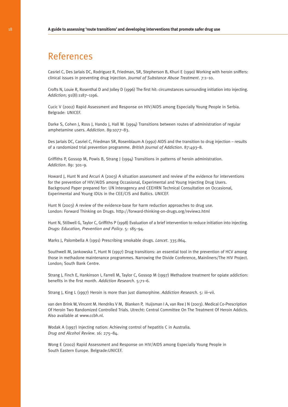# References

Casriel C, Des Jarlais DC, Rodriguez R, Friedman, SR, Stepherson B, Khuri E (1990) Working with heroin sniffers: clinical issues in preventing drug injection. *Journal of Substance Abuse Treatment*. 7:1–10.

Crofts N, Louie R, Rosenthal D and Jolley D (1996) The first hit: circumstances surrounding initiation into injecting. *Addiction*; 91(8):1187–1196.

Cucic V (2002) Rapid Assessment and Response on HIV/AIDS among Especially Young People in Serbia. Belgrade: UNICEF.

Darke S, Cohen J, Ross J, Hando J, Hall W. (1994) Transitions between routes of administration of regular amphetamine users. *Addiction*. 89:1077–83.

Des Jarlais DC, Casriel C, Friedman SR, Rosenblaum A (1992) AIDS and the transition to drug injection – results of a randomized trial prevention programme. *British Journal of Addiction*. 87:493–8.

Griffiths P, Gossop M, Powis B, Strang J (1994) Transitions in patterns of heroin administration. *Addiction*. 89: 301–9.

Howard J, Hunt N and Arcuri A (2003) A situation assessment and review of the evidence for interventions for the prevention of HIV/AIDS among Occasional, Experimental and Young Injecting Drug Users. Background Paper prepared for: UN Interagency and CEEHRN Technical Consultation on Occasional, Experimental and Young IDUs in the CEE/CIS and Baltics. UNICEF.

Hunt N (2003) A review of the evidence-base for harm reduction approaches to drug use. London: Forward Thinking on Drugs. http://forward-thinking-on-drugs.org/review2.html

Hunt N, Stillwell G, Taylor C, Griffiths P (1998) Evaluation of a brief intervention to reduce initiation into injecting. *Drugs: Education, Prevention and Policy*. 5: 185–94.

Marks J, Palombella A (1991) Prescribing smokable drugs. *Lancet*. 335:864.

Southwell M, Jankowska T, Hunt N (1997) Drug transitions: an essential tool in the prevention of HCV among those in methadone maintenance programmes. Narrowing the Divide Conference, Mainliners/The HIV Project. London; South Bank Centre.

Strang J, Finch E, Hankinson I, Farrell M, Taylor C, Gossop M (1997) Methadone treatment for opiate addiction: benefits in the first month. *Addiction Research*. 5:71–6.

Strang J, King L (1997) Heroin is more than just diamorphine. *Addiction Research*. 5: iii–vii.

van den Brink W, Vincent M. Hendriks V M, Blanken P, Huijsman I A, van Ree J N (2003). Medical Co-Prescription Of Heroin Two Randomized Controlled Trials. Utrecht: Central Committee On The Treatment Of Heroin Addicts. Also available at www.ccbh.nl.

Wodak A (1997) Injecting nation: Achieving control of hepatitis C in Australia. *Drug and Alcohol Review*. 16: 275–84.

Wong E (2002) Rapid Assessment and Response on HIV/AIDS among Especially Young People in South Eastern Europe. Belgrade:UNICEF.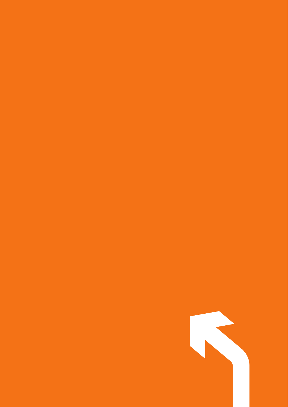